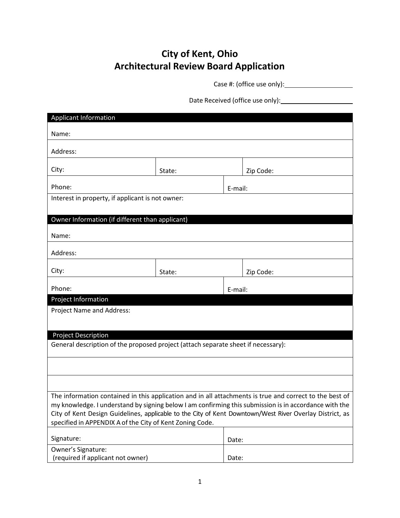## **City of Kent, Ohio Architectural Review Board Application**

Case #: (office use only):

Date Received (office use only):

| <b>Applicant Information</b>                                                                                                                                        |        |         |           |  |  |  |  |
|---------------------------------------------------------------------------------------------------------------------------------------------------------------------|--------|---------|-----------|--|--|--|--|
| Name:                                                                                                                                                               |        |         |           |  |  |  |  |
| Address:                                                                                                                                                            |        |         |           |  |  |  |  |
|                                                                                                                                                                     |        |         |           |  |  |  |  |
| City:                                                                                                                                                               | State: |         | Zip Code: |  |  |  |  |
| Phone:                                                                                                                                                              |        | E-mail: |           |  |  |  |  |
| Interest in property, if applicant is not owner:                                                                                                                    |        |         |           |  |  |  |  |
|                                                                                                                                                                     |        |         |           |  |  |  |  |
| Owner Information (if different than applicant)                                                                                                                     |        |         |           |  |  |  |  |
| Name:                                                                                                                                                               |        |         |           |  |  |  |  |
| Address:                                                                                                                                                            |        |         |           |  |  |  |  |
| City:                                                                                                                                                               | State: |         | Zip Code: |  |  |  |  |
| Phone:                                                                                                                                                              |        |         |           |  |  |  |  |
| Project Information                                                                                                                                                 |        |         | E-mail:   |  |  |  |  |
| Project Name and Address:                                                                                                                                           |        |         |           |  |  |  |  |
|                                                                                                                                                                     |        |         |           |  |  |  |  |
| <b>Project Description</b>                                                                                                                                          |        |         |           |  |  |  |  |
| General description of the proposed project (attach separate sheet if necessary):                                                                                   |        |         |           |  |  |  |  |
|                                                                                                                                                                     |        |         |           |  |  |  |  |
|                                                                                                                                                                     |        |         |           |  |  |  |  |
| The information contained in this application and in all attachments is true and correct to the best of                                                             |        |         |           |  |  |  |  |
| my knowledge. I understand by signing below I am confirming this submission is in accordance with the                                                               |        |         |           |  |  |  |  |
| City of Kent Design Guidelines, applicable to the City of Kent Downtown/West River Overlay District, as<br>specified in APPENDIX A of the City of Kent Zoning Code. |        |         |           |  |  |  |  |
|                                                                                                                                                                     |        |         |           |  |  |  |  |
| Signature:                                                                                                                                                          |        | Date:   |           |  |  |  |  |
| Owner's Signature:<br>(required if applicant not owner)                                                                                                             |        | Date:   |           |  |  |  |  |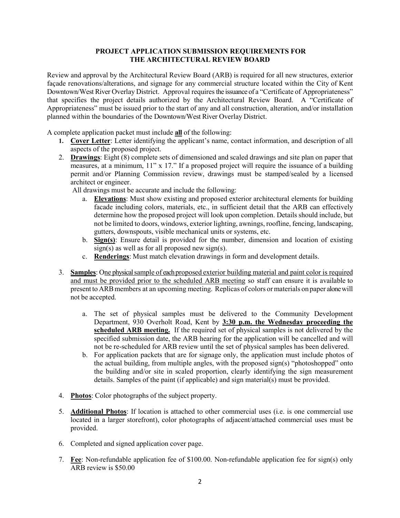## **PROJECT APPLICATION SUBMISSION REQUIREMENTS FOR THE ARCHITECTURAL REVIEW BOARD**

Review and approval by the Architectural Review Board (ARB) is required for all new structures, exterior façade renovations/alterations, and signage for any commercial structure located within the City of Kent Downtown/West River Overlay District. Approval requires the issuance of a "Certificate of Appropriateness" that specifies the project details authorized by the Architectural Review Board. A "Certificate of Appropriateness" must be issued prior to the start of any and all construction, alteration, and/or installation planned within the boundaries of the Downtown/West River Overlay District.

A complete application packet must include **all** of the following:

- **1. Cover Letter**: Letter identifying the applicant's name, contact information, and description of all aspects of the proposed project.
- 2. **Drawings**: Eight (8) complete sets of dimensioned and scaled drawings and site plan on paper that measures, at a minimum, 11" x 17." If a proposed project will require the issuance of a building permit and/or Planning Commission review, drawings must be stamped/sealed by a licensed architect or engineer.

All drawings must be accurate and include the following:

- a. **Elevations**: Must show existing and proposed exterior architectural elements for building facade including colors, materials, etc., in sufficient detail that the ARB can effectively determine how the proposed project will look upon completion. Details should include, but not be limited to doors, windows, exterior lighting, awnings, roofline, fencing, landscaping, gutters, downspouts, visible mechanical units or systems, etc.
- b. **Sign(s)**: Ensure detail is provided for the number, dimension and location of existing  $sign(s)$  as well as for all proposed new sign(s).
- c. **Renderings**: Must match elevation drawings in form and development details.
- 3. **Samples**: One physical sample of each proposed exterior building material and paint color is required and must be provided prior to the scheduled ARB meeting so staff can ensure it is available to present to ARBmembers at an upcoming meeting. Replicas of colors or materials on paper alonewill not be accepted.
	- a. The set of physical samples must be delivered to the Community Development Department, 930 Overholt Road, Kent by **3:30 p.m. the Wednesday proceeding the scheduled ARB meeting.** If the required set of physical samples is not delivered by the specified submission date, the ARB hearing for the application will be cancelled and will not be re-scheduled for ARB review until the set of physical samples has been delivered.
	- b. For application packets that are for signage only, the application must include photos of the actual building, from multiple angles, with the proposed sign(s) "photoshopped" onto the building and/or site in scaled proportion, clearly identifying the sign measurement details. Samples of the paint (if applicable) and sign material(s) must be provided.
- 4. **Photos**: Color photographs of the subject property.
- 5. **Additional Photos**: If location is attached to other commercial uses (i.e. is one commercial use located in a larger storefront), color photographs of adjacent/attached commercial uses must be provided.
- 6. Completed and signed application cover page.
- 7. **Fee**: Non-refundable application fee of \$100.00. Non-refundable application fee for sign(s) only ARB review is \$50.00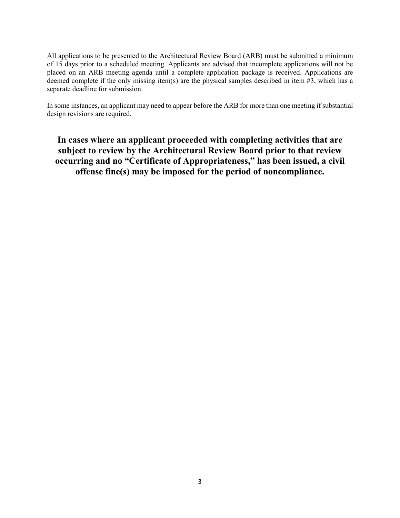All applications to be presented to the Architectural Review Board (ARB) must be submitted a minimum of 15 days prior to a scheduled meeting. Applicants are advised that incomplete applications will not be placed on an ARB meeting agenda until a complete application package is received. Applications are deemed complete if the only missing item(s) are the physical samples described in item  $\#3$ , which has a separate deadline for submission.

In some instances, an applicant may need to appear before the ARB for more than one meeting if substantial design revisions are required.

**In cases where an applicant proceeded with completing activities that are subject to review by the Architectural Review Board prior to that review occurring and no "Certificate of Appropriateness," has been issued, a civil offense fine(s) may be imposed for the period of noncompliance.**